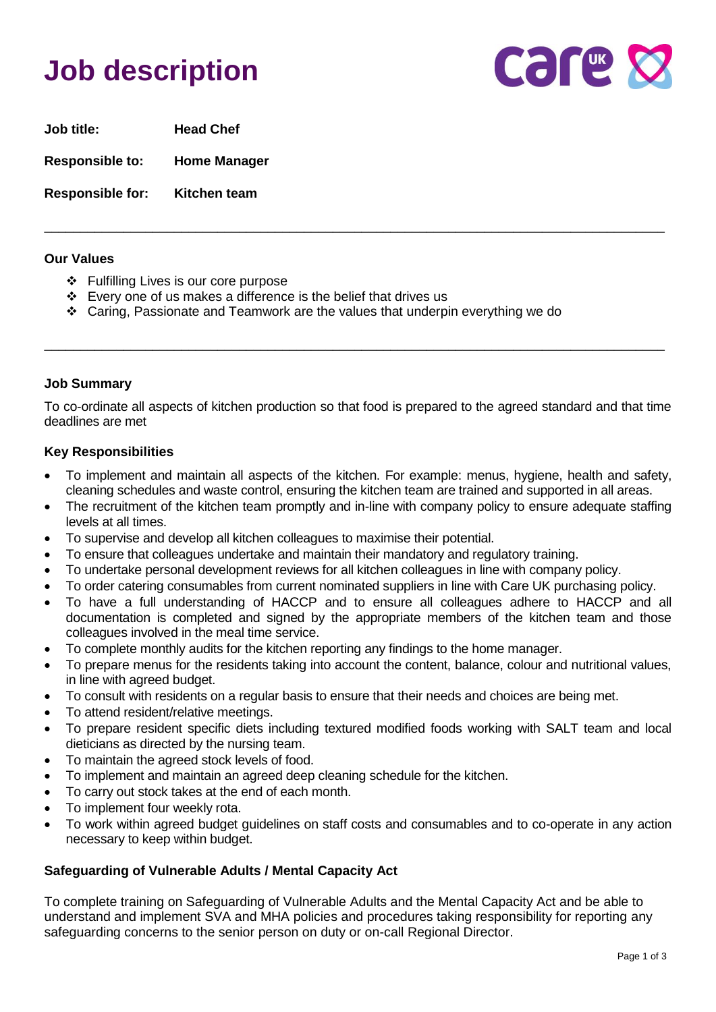# **Job description**



**Job title: Head Chef Responsible to: Home Manager** 

**Responsible for: Kitchen team**

#### **Our Values**

- ❖ Fulfilling Lives is our core purpose
- ❖ Every one of us makes a difference is the belief that drives us
- ❖ Caring, Passionate and Teamwork are the values that underpin everything we do

# **Job Summary**

To co-ordinate all aspects of kitchen production so that food is prepared to the agreed standard and that time deadlines are met

\_\_\_\_\_\_\_\_\_\_\_\_\_\_\_\_\_\_\_\_\_\_\_\_\_\_\_\_\_\_\_\_\_\_\_\_\_\_\_\_\_\_\_\_\_\_\_\_\_\_\_\_\_\_\_\_\_\_\_\_\_\_\_\_\_\_\_\_\_\_\_\_\_\_\_\_\_\_\_\_\_\_\_\_\_\_

\_\_\_\_\_\_\_\_\_\_\_\_\_\_\_\_\_\_\_\_\_\_\_\_\_\_\_\_\_\_\_\_\_\_\_\_\_\_\_\_\_\_\_\_\_\_\_\_\_\_\_\_\_\_\_\_\_\_\_\_\_\_\_\_\_\_\_\_\_\_\_\_\_\_\_\_\_\_\_\_\_\_\_\_\_\_

### **Key Responsibilities**

- To implement and maintain all aspects of the kitchen. For example: menus, hygiene, health and safety, cleaning schedules and waste control, ensuring the kitchen team are trained and supported in all areas.
- The recruitment of the kitchen team promptly and in-line with company policy to ensure adequate staffing levels at all times.
- To supervise and develop all kitchen colleagues to maximise their potential.
- To ensure that colleagues undertake and maintain their mandatory and regulatory training.
- To undertake personal development reviews for all kitchen colleagues in line with company policy.
- To order catering consumables from current nominated suppliers in line with Care UK purchasing policy.
- To have a full understanding of HACCP and to ensure all colleagues adhere to HACCP and all documentation is completed and signed by the appropriate members of the kitchen team and those colleagues involved in the meal time service.
- To complete monthly audits for the kitchen reporting any findings to the home manager.
- To prepare menus for the residents taking into account the content, balance, colour and nutritional values, in line with agreed budget.
- To consult with residents on a regular basis to ensure that their needs and choices are being met.
- To attend resident/relative meetings.
- To prepare resident specific diets including textured modified foods working with SALT team and local dieticians as directed by the nursing team.
- To maintain the agreed stock levels of food.
- To implement and maintain an agreed deep cleaning schedule for the kitchen.
- To carry out stock takes at the end of each month.
- To implement four weekly rota.
- To work within agreed budget guidelines on staff costs and consumables and to co-operate in any action necessary to keep within budget.

# **Safeguarding of Vulnerable Adults / Mental Capacity Act**

To complete training on Safeguarding of Vulnerable Adults and the Mental Capacity Act and be able to understand and implement SVA and MHA policies and procedures taking responsibility for reporting any safeguarding concerns to the senior person on duty or on-call Regional Director.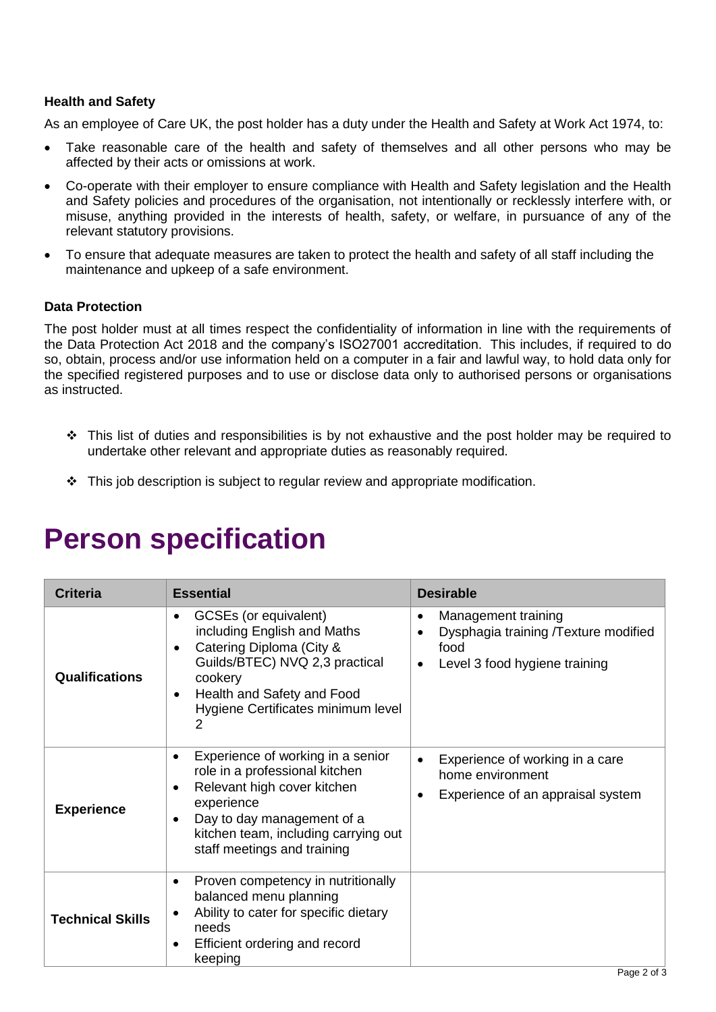### **Health and Safety**

As an employee of Care UK, the post holder has a duty under the Health and Safety at Work Act 1974, to:

- Take reasonable care of the health and safety of themselves and all other persons who may be affected by their acts or omissions at work.
- Co-operate with their employer to ensure compliance with Health and Safety legislation and the Health and Safety policies and procedures of the organisation, not intentionally or recklessly interfere with, or misuse, anything provided in the interests of health, safety, or welfare, in pursuance of any of the relevant statutory provisions.
- To ensure that adequate measures are taken to protect the health and safety of all staff including the maintenance and upkeep of a safe environment.

#### **Data Protection**

The post holder must at all times respect the confidentiality of information in line with the requirements of the Data Protection Act 2018 and the company's ISO27001 accreditation. This includes, if required to do so, obtain, process and/or use information held on a computer in a fair and lawful way, to hold data only for the specified registered purposes and to use or disclose data only to authorised persons or organisations as instructed.

- ❖ This list of duties and responsibilities is by not exhaustive and the post holder may be required to undertake other relevant and appropriate duties as reasonably required.
- $\div$  This job description is subject to regular review and appropriate modification.

| <b>Criteria</b>         | <b>Essential</b>                                                                                                                                                                                                                                     | <b>Desirable</b>                                                                                                       |
|-------------------------|------------------------------------------------------------------------------------------------------------------------------------------------------------------------------------------------------------------------------------------------------|------------------------------------------------------------------------------------------------------------------------|
| <b>Qualifications</b>   | GCSEs (or equivalent)<br>including English and Maths<br>Catering Diploma (City &<br>$\bullet$<br>Guilds/BTEC) NVQ 2,3 practical<br>cookery<br>Health and Safety and Food<br>$\bullet$<br>Hygiene Certificates minimum level<br>$\overline{2}$        | Management training<br>٠<br>Dysphagia training /Texture modified<br>food<br>Level 3 food hygiene training<br>$\bullet$ |
| <b>Experience</b>       | Experience of working in a senior<br>٠<br>role in a professional kitchen<br>Relevant high cover kitchen<br>$\bullet$<br>experience<br>Day to day management of a<br>$\bullet$<br>kitchen team, including carrying out<br>staff meetings and training | Experience of working in a care<br>home environment<br>Experience of an appraisal system                               |
| <b>Technical Skills</b> | Proven competency in nutritionally<br>$\bullet$<br>balanced menu planning<br>Ability to cater for specific dietary<br>needs<br>Efficient ordering and record<br>٠<br>keeping                                                                         |                                                                                                                        |

# **Person specification**